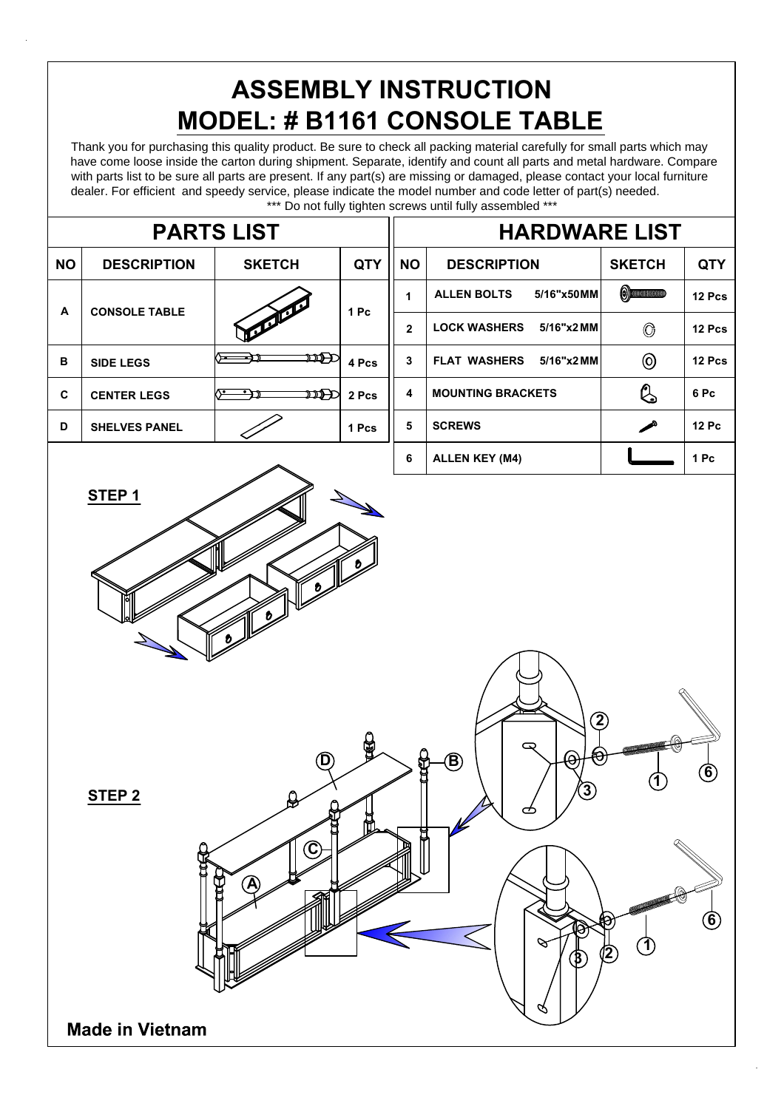## **ASSEMBLY INSTRUCTION MODEL: # B1161 CONSOLE TABLE**

Thank you for purchasing this quality product. Be sure to check all packing material carefully for small parts which may have come loose inside the carton during shipment. Separate, identify and count all parts and metal hardware. Compare with parts list to be sure all parts are present. If any part(s) are missing or damaged, please contact your local furniture dealer. For efficient and speedy service, please indicate the model number and code letter of part(s) needed. \*\*\* Do not fully tighten screws until fully assembled \*\*\*

| <b>PARTS LIST</b>      |                        |                                             |            |                     | Do not lully ugnien screws until lully assembled<br><b>HARDWARE LIST</b>                                     |                                                       |                            |  |
|------------------------|------------------------|---------------------------------------------|------------|---------------------|--------------------------------------------------------------------------------------------------------------|-------------------------------------------------------|----------------------------|--|
| <b>NO</b>              | <b>DESCRIPTION</b>     | <b>SKETCH</b>                               | <b>QTY</b> | <b>NO</b>           | <b>DESCRIPTION</b>                                                                                           | <b>SKETCH</b>                                         | <b>QTY</b>                 |  |
| $\blacktriangle$       | <b>CONSOLE TABLE</b>   |                                             | 1 Pc       | 1<br>$\overline{2}$ | <b>ALLEN BOLTS</b><br>5/16"x50MM<br><b>LOCK WASHERS</b><br>5/16"x2MM                                         | $\odot$ different contracts $\odot$<br>$\circledcirc$ | 12 Pcs<br>12 Pcs           |  |
| $\, {\bf B}$           | <b>SIDE LEGS</b>       | $\mathfrak{w}\hspace{-1.5pt}\text{D}$<br>`⊨ | 4 Pcs      | $\mathbf{3}$        | <b>FLAT WASHERS</b><br>$5/16$ "x2 MM                                                                         | $\circledcirc$                                        | 12 Pcs                     |  |
| $\mathbf{c}$           | <b>CENTER LEGS</b>     | স্টা⊃<br>∧•                                 | 2 Pcs      | $\pmb{4}$           | <b>MOUNTING BRACKETS</b>                                                                                     | Q                                                     | 6 Pc                       |  |
| D                      | <b>SHELVES PANEL</b>   |                                             | 1 Pcs      | ${\bf 5}$           | <b>SCREWS</b>                                                                                                | ◢                                                     | <b>12 Pc</b>               |  |
|                        | STEP <sub>1</sub>      |                                             |            | $\bf 6$             | <b>ALLEN KEY (M4)</b>                                                                                        |                                                       | 1 Pc                       |  |
| $\boldsymbol{b}$<br>ð. |                        |                                             |            |                     |                                                                                                              |                                                       |                            |  |
|                        | STEP <sub>2</sub>      | $\circledR$<br>Λ<br>❤                       | <b>GO</b>  | 8                   | $\Large{\textcircled{\small{2}}}$<br>ఖ<br>₩<br>$\Theta$<br>$\bigcirc$<br>$\bf{\textcircled{\small{3}}}$<br>☎ |                                                       | $\ddot{\bm{6}}$            |  |
|                        |                        | $\mathbf{\widehat{c}}$<br>А                 |            |                     | 9<br>$\left( \beta \right)$                                                                                  | $\mathbf{1}$<br><u>[2</u>                             | $\circled{\scriptstyle 6}$ |  |
|                        | <b>Made in Vietnam</b> |                                             |            |                     |                                                                                                              |                                                       |                            |  |